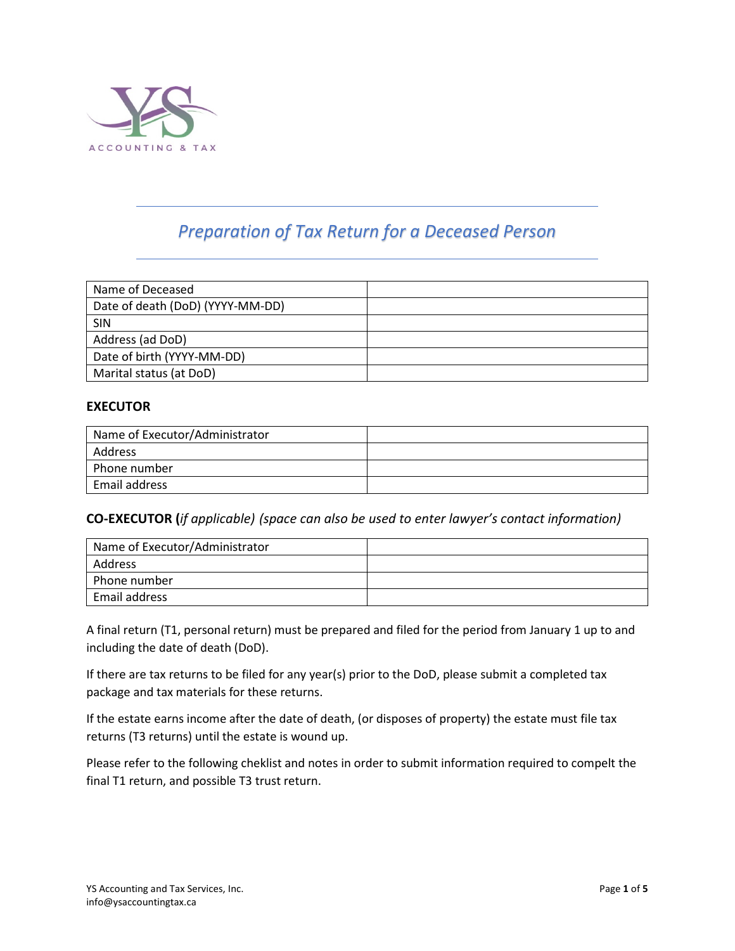

# *Preparation of Tax Return for a Deceased Person*

| Name of Deceased                 |  |
|----------------------------------|--|
| Date of death (DoD) (YYYY-MM-DD) |  |
| <b>SIN</b>                       |  |
| Address (ad DoD)                 |  |
| Date of birth (YYYY-MM-DD)       |  |
| Marital status (at DoD)          |  |

### **EXECUTOR**

| Name of Executor/Administrator |  |
|--------------------------------|--|
| Address                        |  |
| Phone number                   |  |
| Email address                  |  |

#### **CO-EXECUTOR (***if applicable) (space can also be used to enter lawyer's contact information)*

| Name of Executor/Administrator |  |
|--------------------------------|--|
| Address                        |  |
| Phone number                   |  |
| Email address                  |  |

A final return (T1, personal return) must be prepared and filed for the period from January 1 up to and including the date of death (DoD).

If there are tax returns to be filed for any year(s) prior to the DoD, please submit a completed tax package and tax materials for these returns.

If the estate earns income after the date of death, (or disposes of property) the estate must file tax returns (T3 returns) until the estate is wound up.

Please refer to the following cheklist and notes in order to submit information required to compelt the final T1 return, and possible T3 trust return.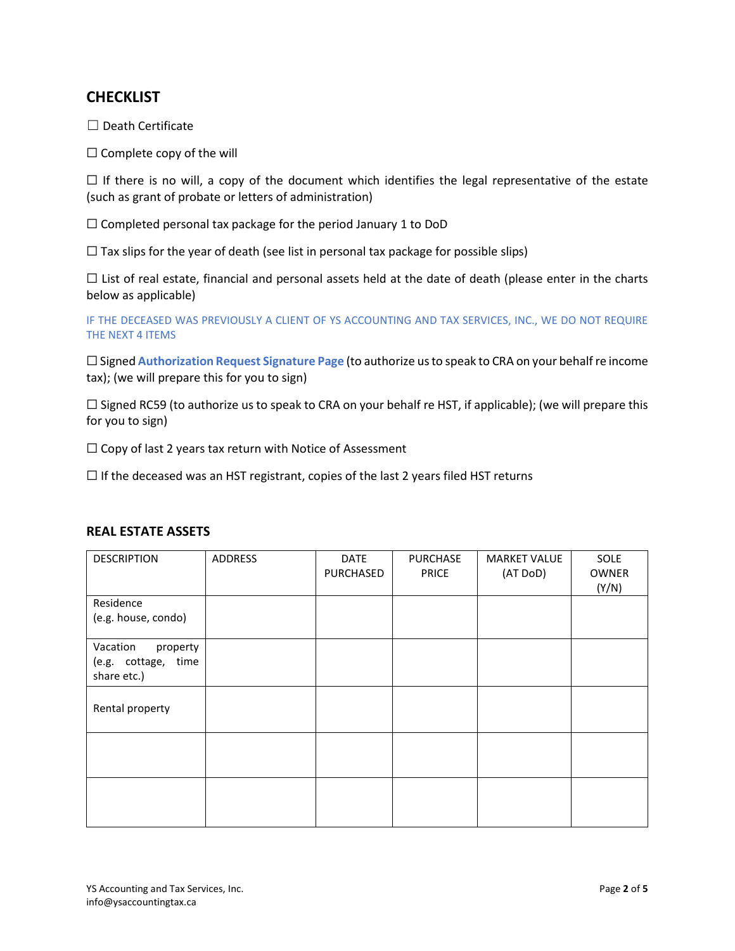# **CHECKLIST**

☐ Death Certificate

□ Complete copy of the will

 $\Box$  If there is no will, a copy of the document which identifies the legal representative of the estate (such as grant of probate or letters of administration)

☐ Completed personal tax package for the period January 1 to DoD

 $\Box$  Tax slips for the year of death (see list in personal tax package for possible slips)

 $\Box$  List of real estate, financial and personal assets held at the date of death (please enter in the charts below as applicable)

IF THE DECEASED WAS PREVIOUSLY A CLIENT OF YS ACCOUNTING AND TAX SERVICES, INC., WE DO NOT REQUIRE THE NEXT 4 ITEMS

☐ Signed **Authorization Request Signature Page** (to authorize us to speak to CRA on your behalf re income tax); (we will prepare this for you to sign)

 $\Box$  Signed RC59 (to authorize us to speak to CRA on your behalf re HST, if applicable); (we will prepare this for you to sign)

 $\Box$  Copy of last 2 years tax return with Notice of Assessment

 $\Box$  If the deceased was an HST registrant, copies of the last 2 years filed HST returns

| <b>DESCRIPTION</b>                             | ADDRESS | <b>DATE</b><br>PURCHASED | <b>PURCHASE</b><br><b>PRICE</b> | <b>MARKET VALUE</b><br>(AT DoD) | SOLE<br><b>OWNER</b><br>(Y/N) |
|------------------------------------------------|---------|--------------------------|---------------------------------|---------------------------------|-------------------------------|
| Residence<br>(e.g. house, condo)               |         |                          |                                 |                                 |                               |
| Vacation                                       |         |                          |                                 |                                 |                               |
| property<br>(e.g. cottage, time<br>share etc.) |         |                          |                                 |                                 |                               |
| Rental property                                |         |                          |                                 |                                 |                               |
|                                                |         |                          |                                 |                                 |                               |
|                                                |         |                          |                                 |                                 |                               |

### **REAL ESTATE ASSETS**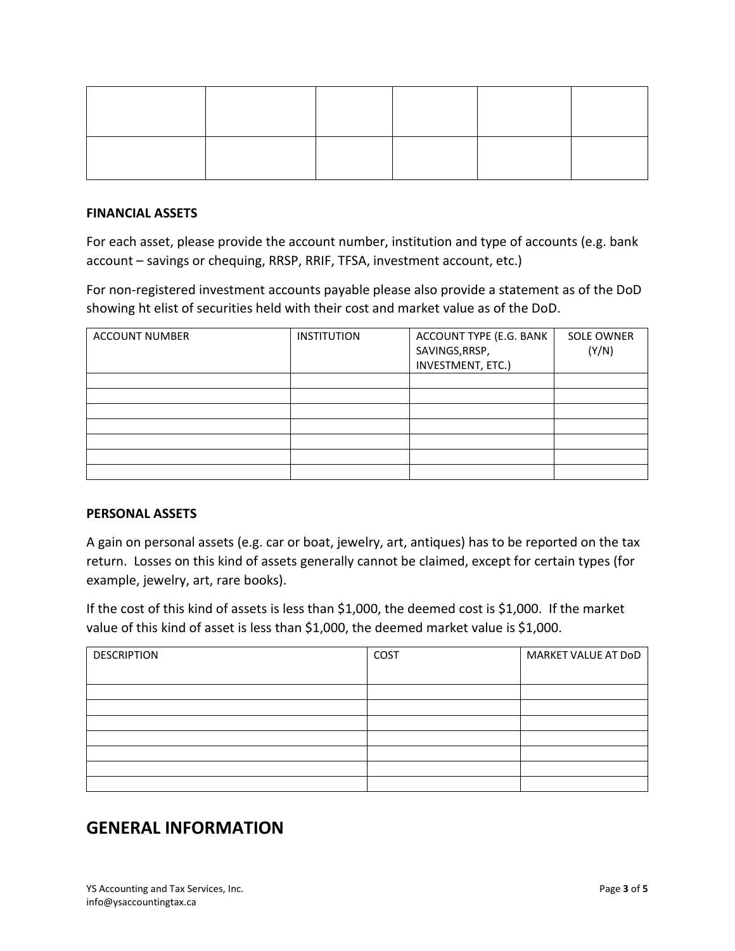#### **FINANCIAL ASSETS**

For each asset, please provide the account number, institution and type of accounts (e.g. bank account – savings or chequing, RRSP, RRIF, TFSA, investment account, etc.)

For non-registered investment accounts payable please also provide a statement as of the DoD showing ht elist of securities held with their cost and market value as of the DoD.

| <b>ACCOUNT NUMBER</b> | <b>INSTITUTION</b> | ACCOUNT TYPE (E.G. BANK<br>SAVINGS, RRSP,<br>INVESTMENT, ETC.) | <b>SOLE OWNER</b><br>(Y/N) |
|-----------------------|--------------------|----------------------------------------------------------------|----------------------------|
|                       |                    |                                                                |                            |
|                       |                    |                                                                |                            |
|                       |                    |                                                                |                            |
|                       |                    |                                                                |                            |
|                       |                    |                                                                |                            |
|                       |                    |                                                                |                            |
|                       |                    |                                                                |                            |

#### **PERSONAL ASSETS**

A gain on personal assets (e.g. car or boat, jewelry, art, antiques) has to be reported on the tax return. Losses on this kind of assets generally cannot be claimed, except for certain types (for example, jewelry, art, rare books).

If the cost of this kind of assets is less than \$1,000, the deemed cost is \$1,000. If the market value of this kind of asset is less than \$1,000, the deemed market value is \$1,000.

| <b>DESCRIPTION</b> | COST | MARKET VALUE AT DoD |
|--------------------|------|---------------------|
|                    |      |                     |
|                    |      |                     |
|                    |      |                     |
|                    |      |                     |
|                    |      |                     |
|                    |      |                     |
|                    |      |                     |
|                    |      |                     |

# **GENERAL INFORMATION**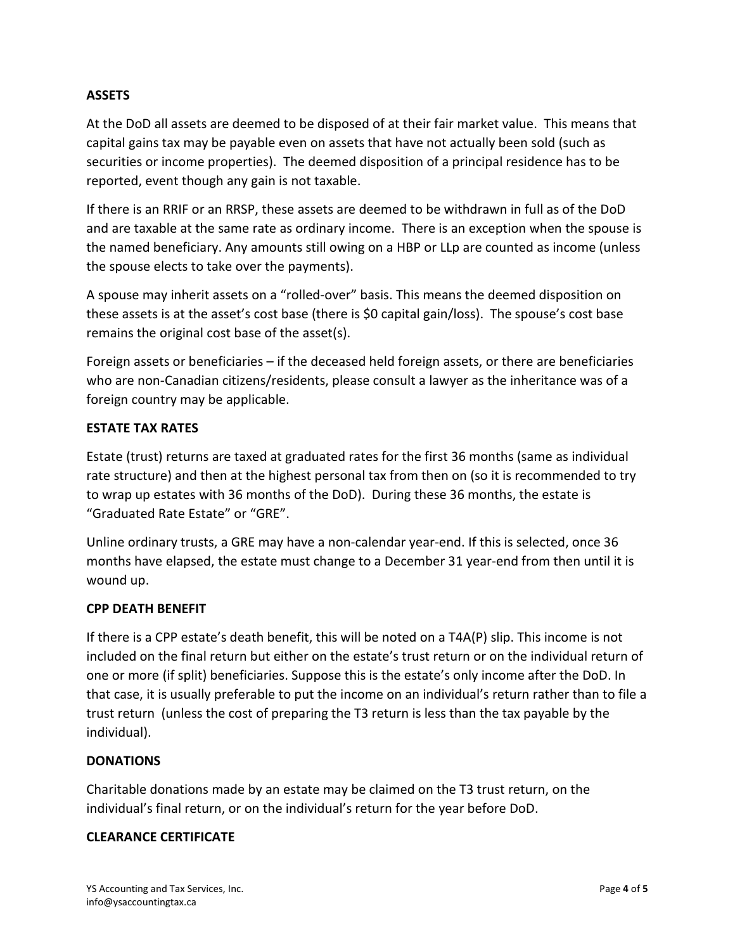# **ASSETS**

At the DoD all assets are deemed to be disposed of at their fair market value. This means that capital gains tax may be payable even on assets that have not actually been sold (such as securities or income properties). The deemed disposition of a principal residence has to be reported, event though any gain is not taxable.

If there is an RRIF or an RRSP, these assets are deemed to be withdrawn in full as of the DoD and are taxable at the same rate as ordinary income. There is an exception when the spouse is the named beneficiary. Any amounts still owing on a HBP or LLp are counted as income (unless the spouse elects to take over the payments).

A spouse may inherit assets on a "rolled-over" basis. This means the deemed disposition on these assets is at the asset's cost base (there is \$0 capital gain/loss). The spouse's cost base remains the original cost base of the asset(s).

Foreign assets or beneficiaries – if the deceased held foreign assets, or there are beneficiaries who are non-Canadian citizens/residents, please consult a lawyer as the inheritance was of a foreign country may be applicable.

# **ESTATE TAX RATES**

Estate (trust) returns are taxed at graduated rates for the first 36 months (same as individual rate structure) and then at the highest personal tax from then on (so it is recommended to try to wrap up estates with 36 months of the DoD). During these 36 months, the estate is "Graduated Rate Estate" or "GRE".

Unline ordinary trusts, a GRE may have a non-calendar year-end. If this is selected, once 36 months have elapsed, the estate must change to a December 31 year-end from then until it is wound up.

# **CPP DEATH BENEFIT**

If there is a CPP estate's death benefit, this will be noted on a T4A(P) slip. This income is not included on the final return but either on the estate's trust return or on the individual return of one or more (if split) beneficiaries. Suppose this is the estate's only income after the DoD. In that case, it is usually preferable to put the income on an individual's return rather than to file a trust return (unless the cost of preparing the T3 return is less than the tax payable by the individual).

#### **DONATIONS**

Charitable donations made by an estate may be claimed on the T3 trust return, on the individual's final return, or on the individual's return for the year before DoD.

#### **CLEARANCE CERTIFICATE**